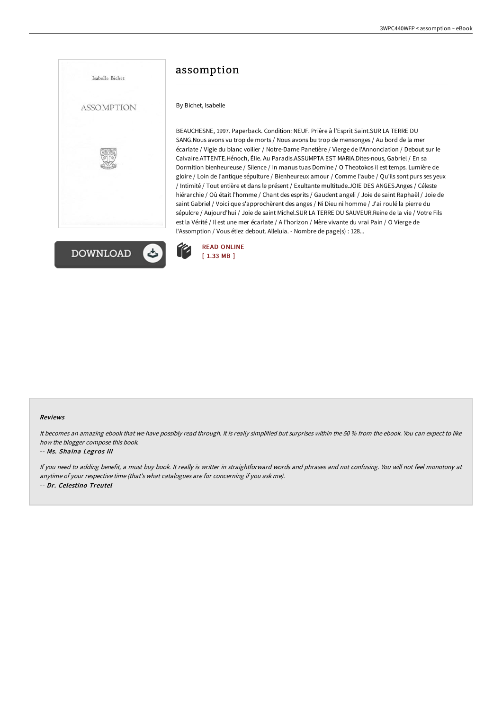



# assomption

By Bichet, Isabelle

BEAUCHESNE, 1997. Paperback. Condition: NEUF. Prière à l'Esprit Saint.SUR LA TERRE DU SANG.Nous avons vu trop de morts / Nous avons bu trop de mensonges / Au bord de la mer écarlate / Vigie du blanc voilier / Notre-Dame Panetière / Vierge de l'Annonciation / Debout sur le Calvaire.ATTENTE.Hénoch, Élie. Au Paradis.ASSUMPTA EST MARIA.Dites-nous, Gabriel / En sa Dormition bienheureuse / Silence / In manus tuas Domine / O Theotokos il est temps. Lumière de gloire / Loin de l'antique sépulture / Bienheureux amour / Comme l'aube / Qu'ils sont purs ses yeux / Intimité / Tout entière et dans le présent / Exultante multitude.JOIE DES ANGES.Anges / Céleste hiérarchie / Où était l'homme / Chant des esprits / Gaudent angeli / Joie de saint Raphaël / Joie de saint Gabriel / Voici que s'approchèrent des anges / Ni Dieu ni homme / J'ai roulé la pierre du sépulcre / Aujourd'hui / Joie de saint Michel.SUR LA TERRE DU SAUVEUR.Reine de la vie / Votre Fils est la Vérité / Il est une mer écarlate / A l'horizon / Mère vivante du vrai Pain / O Vierge de l'Assomption / Vous étiez debout. Alleluia. - Nombre de page(s) : 128...



#### Reviews

It becomes an amazing ebook that we have possibly read through. It is really simplified but surprises within the <sup>50</sup> % from the ebook. You can expect to like how the blogger compose this book.

#### -- Ms. Shaina Legros III

If you need to adding benefit, <sup>a</sup> must buy book. It really is writter in straightforward words and phrases and not confusing. You will not feel monotony at anytime of your respective time (that's what catalogues are for concerning if you ask me). -- Dr. Celestino Treutel